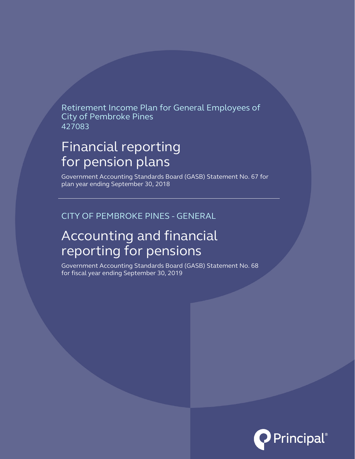Retirement Income Plan for General Employees of City of Pembroke Pines 427083

## Financial reporting for pension plans

Government Accounting Standards Board (GASB) Statement No. 67 for plan year ending September 30, 2018

CITY OF PEMBROKE PINES - GENERAL

## Accounting and financial reporting for pensions

Government Accounting Standards Board (GASB) Statement No. 68 for fiscal year ending September 30, 2019

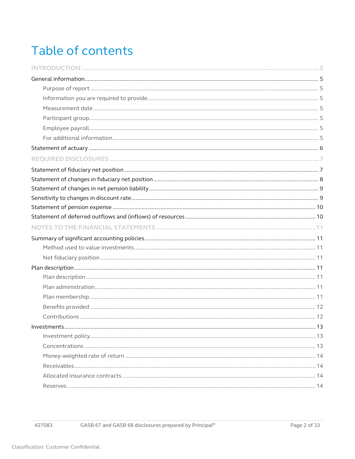# Table of contents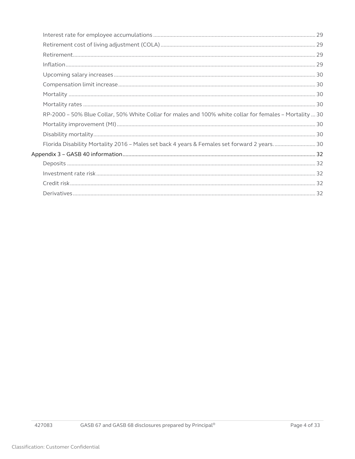| RP-2000 - 50% Blue Collar, 50% White Collar for males and 100% white collar for females - Mortality  30 |  |
|---------------------------------------------------------------------------------------------------------|--|
|                                                                                                         |  |
|                                                                                                         |  |
| Florida Disability Mortality 2016 - Males set back 4 years & Females set forward 2 years 30             |  |
|                                                                                                         |  |
|                                                                                                         |  |
|                                                                                                         |  |
|                                                                                                         |  |
|                                                                                                         |  |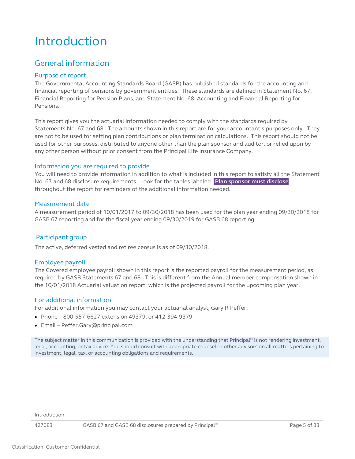## <span id="page-4-0"></span>Introduction

### <span id="page-4-1"></span>General information

#### <span id="page-4-2"></span>Purpose of report

The Governmental Accounting Standards Board (GASB) has published standards for the accounting and financial reporting of pensions by government entities. These standards are defined in Statement No. 67, Financial Reporting for Pension Plans, and Statement No. 68, Accounting and Financial Reporting for Pensions.

This report gives you the actuarial information needed to comply with the standards required by Statements No. 67 and 68. The amounts shown in this report are for your accountant's purposes only. They are not to be used for setting plan contributions or plan termination calculations. This report should not be used for other purposes, distributed to anyone other than the plan sponsor and auditor, or relied upon by any other person without prior consent from the Principal Life Insurance Company.

#### <span id="page-4-3"></span>Information you are required to provide

You will need to provide information in addition to what is included in this report to satisfy all the Statement No. 67 and 68 disclosure requirements. Look for the tables labeled **Plan sponsor must disclose** throughout the report for reminders of the additional information needed.

#### <span id="page-4-4"></span>Measurement date

A measurement period of 10/01/2017 to 09/30/2018 has been used for the plan year ending 09/30/2018 for GASB 67 reporting and for the fiscal year ending 09/30/2019 for GASB 68 reporting.

#### <span id="page-4-5"></span>Participant group

The active, deferred vested and retiree census is as of 09/30/2018.

#### <span id="page-4-6"></span>Employee payroll

The Covered employee payroll shown in this report is the reported payroll for the measurement period, as required by GASB Statements 67 and 68. This is different from the Annual member compensation shown in the 10/01/2018 Actuarial valuation report, which is the projected payroll for the upcoming plan year.

#### <span id="page-4-7"></span>For additional information

For additional information you may contact your actuarial analyst, Gary R Peffer:

- Phone 800-557-6627 extension 49379, or 412-394-9379
- Email Peffer.Gary@principal.com

The subject matter in this communication is provided with the understanding that Principal® is not rendering investment, legal, accounting, or tax advice. You should consult with appropriate counsel or other advisors on all matters pertaining to investment, legal, tax, or accounting obligations and requirements.

Introduction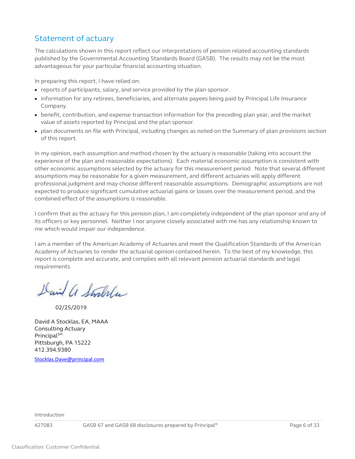### <span id="page-5-0"></span>Statement of actuary

The calculations shown in this report reflect our interpretations of pension related accounting standards published by the Governmental Accounting Standards Board (GASB). The results may not be the most advantageous for your particular financial accounting situation.

In preparing this report, I have relied on:

- reports of participants, salary, and service provided by the plan sponsor.
- information for any retirees, beneficiaries, and alternate payees being paid by Principal Life Insurance Company.
- benefit, contribution, and expense transaction information for the preceding plan year, and the market value of assets reported by Principal and the plan sponsor.
- plan documents on file with Principal, including changes as noted on the Summary of plan provisions section of this report.

In my opinion, each assumption and method chosen by the actuary is reasonable (taking into account the experience of the plan and reasonable expectations). Each material economic assumption is consistent with other economic assumptions selected by the actuary for this measurement period. Note that several different assumptions may be reasonable for a given measurement, and different actuaries will apply different professional judgment and may choose different reasonable assumptions. Demographic assumptions are not expected to produce significant cumulative actuarial gains or losses over the measurement period, and the combined effect of the assumptions is reasonable.

I confirm that as the actuary for this pension plan, I am completely independent of the plan sponsor and any of its officers or key personnel. Neither I nor anyone closely associated with me has any relationship known to me which would impair our independence.

I am a member of the American Academy of Actuaries and meet the Qualification Standards of the American Academy of Actuaries to render the actuarial opinion contained herein. To the best of my knowledge, this report is complete and accurate, and complies with all relevant pension actuarial standards and legal requirements.

David a Stockle

02/25/2019

David A Stocklas, EA, MAAA Consulting Actuary Principal<sup>SM</sup> Pittsburgh, PA 15222 412.394.9380

[Stocklas.Dave@principal.com](mailto:Stocklas.Dave@principal.com)

Introduction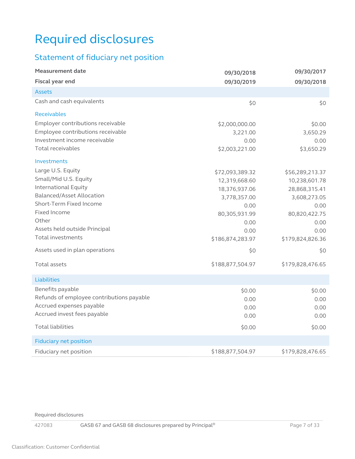## <span id="page-6-0"></span>Required disclosures

### <span id="page-6-1"></span>Statement of fiduciary net position

| <b>Measurement date</b>                   | 09/30/2018       | 09/30/2017       |
|-------------------------------------------|------------------|------------------|
| <b>Fiscal year end</b>                    | 09/30/2019       | 09/30/2018       |
| <b>Assets</b>                             |                  |                  |
| Cash and cash equivalents                 | \$0              | \$0              |
| <b>Receivables</b>                        |                  |                  |
| Employer contributions receivable         | \$2,000,000.00   | \$0.00           |
| Employee contributions receivable         | 3,221.00         | 3,650.29         |
| Investment income receivable              | 0.00             | 0.00             |
| Total receivables                         | \$2,003,221.00   | \$3,650.29       |
| Investments                               |                  |                  |
| Large U.S. Equity                         | \$72,093,389.32  | \$56,289,213.37  |
| Small/Mid U.S. Equity                     | 12,319,668.60    | 10,238,601.78    |
| <b>International Equity</b>               | 18,376,937.06    | 28,868,315.41    |
| <b>Balanced/Asset Allocation</b>          | 3,778,357.00     | 3,608,273.05     |
| Short-Term Fixed Income                   | 0.00             | 0.00             |
| Fixed Income                              | 80,305,931.99    | 80,820,422.75    |
| Other                                     | 0.00             | 0.00             |
| Assets held outside Principal             | 0.00             | 0.00             |
| Total investments                         | \$186,874,283.97 | \$179,824,826.36 |
| Assets used in plan operations            | \$0              | \$0              |
| <b>Total assets</b>                       | \$188,877,504.97 | \$179,828,476.65 |
| Liabilities                               |                  |                  |
| Benefits payable                          | \$0.00           | \$0.00           |
| Refunds of employee contributions payable | 0.00             | 0.00             |
| Accrued expenses payable                  | 0.00             | 0.00             |
| Accrued invest fees payable               | 0.00             | 0.00             |
| <b>Total liabilities</b>                  | \$0.00           | \$0.00           |
| <b>Fiduciary net position</b>             |                  |                  |
| Fiduciary net position                    | \$188,877,504.97 | \$179,828,476.65 |

#### Required disclosures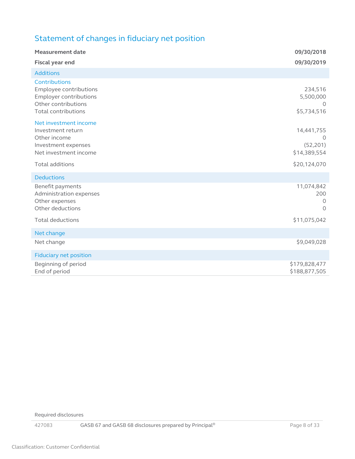### <span id="page-7-0"></span>Statement of changes in fiduciary net position

| <b>Measurement date</b>                                                                                                       | 09/30/2018                                         |
|-------------------------------------------------------------------------------------------------------------------------------|----------------------------------------------------|
| Fiscal year end                                                                                                               | 09/30/2019                                         |
| <b>Additions</b>                                                                                                              |                                                    |
| Contributions<br>Employee contributions<br><b>Employer contributions</b><br>Other contributions<br><b>Total contributions</b> | 234,516<br>5,500,000<br>$\Omega$<br>\$5,734,516    |
| Net investment income<br>Investment return<br>Other income<br>Investment expenses<br>Net investment income                    | 14,441,755<br>$\circ$<br>(52, 201)<br>\$14,389,554 |
| <b>Total additions</b>                                                                                                        | \$20,124,070                                       |
| <b>Deductions</b>                                                                                                             |                                                    |
| Benefit payments<br>Administration expenses<br>Other expenses<br>Other deductions                                             | 11,074,842<br>200<br>$\circ$<br>$\Omega$           |
| <b>Total deductions</b>                                                                                                       | \$11,075,042                                       |
| Net change                                                                                                                    |                                                    |
| Net change                                                                                                                    | \$9,049,028                                        |
| Fiduciary net position                                                                                                        |                                                    |
| Beginning of period<br>End of period                                                                                          | \$179,828,477<br>\$188,877,505                     |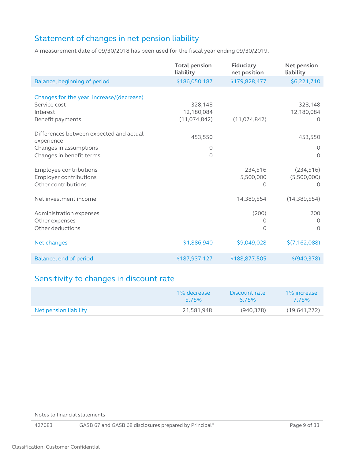### <span id="page-8-0"></span>Statement of changes in net pension liability

A measurement date of 09/30/2018 has been used for the fiscal year ending 09/30/2019.

|                                                                                                             | <b>Total pension</b><br>liability       | <b>Fiduciary</b><br>net position | Net pension<br>liability              |
|-------------------------------------------------------------------------------------------------------------|-----------------------------------------|----------------------------------|---------------------------------------|
| Balance, beginning of period                                                                                | \$186,050,187                           | \$179,828,477                    | \$6,221,710                           |
| Changes for the year, increase/(decrease)<br>Service cost<br>Interest<br>Benefit payments                   | 328,148<br>12,180,084<br>(11, 074, 842) | (11,074,842)                     | 328,148<br>12,180,084<br>$\Omega$     |
| Differences between expected and actual<br>experience<br>Changes in assumptions<br>Changes in benefit terms | 453,550<br>0<br>0                       |                                  | 453,550<br>0<br>$\Omega$              |
| Employee contributions<br><b>Employer contributions</b><br>Other contributions                              |                                         | 234,516<br>5,500,000<br>0        | (234, 516)<br>(5,500,000)<br>$\Omega$ |
| Net investment income                                                                                       |                                         | 14,389,554                       | (14, 389, 554)                        |
| Administration expenses<br>Other expenses<br>Other deductions                                               |                                         | (200)<br>$\circ$                 | 200<br>$\Omega$<br>$\Omega$           |
| Net changes                                                                                                 | \$1,886,940                             | \$9,049,028                      | \$(7,162,088)                         |
| Balance, end of period                                                                                      | \$187,937,127                           | \$188,877,505                    | \$ (940, 378)                         |

### <span id="page-8-1"></span>Sensitivity to changes in discount rate

|                       | 1% decrease | Discount rate | 1% increase  |
|-----------------------|-------------|---------------|--------------|
|                       | 575%        | 675%          | 7.75%        |
| Net pension liability | 21.581.948  | (940.378)     | (19,641,272) |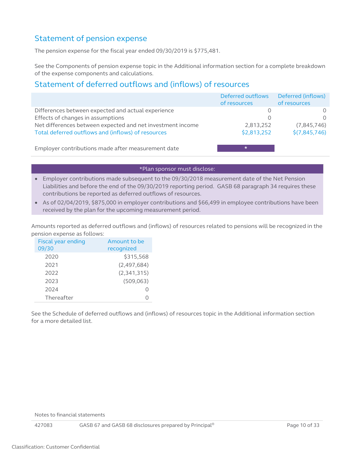### <span id="page-9-0"></span>Statement of pension expense

The pension expense for the fiscal year ended 09/30/2019 is \$775,481.

See the Components of pension expense topic in the Additional information section for a complete breakdown of the expense components and calculations.

### <span id="page-9-1"></span>Statement of deferred outflows and (inflows) of resources

|                                                            | Deferred outflows<br>of resources | Deferred (inflows)<br>of resources |
|------------------------------------------------------------|-----------------------------------|------------------------------------|
| Differences between expected and actual experience         |                                   |                                    |
| Effects of changes in assumptions                          |                                   |                                    |
| Net differences between expected and net investment income | 2,813,252                         | (7,845,746)                        |
| Total deferred outflows and (inflows) of resources         | \$2,813,252                       | \$(7,845,746)                      |
| Employer contributions made after measurement date         | $\star$                           |                                    |

#### \*Plan sponsor must disclose:

- Employer contributions made subsequent to the 09/30/2018 measurement date of the Net Pension Liabilities and before the end of the 09/30/2019 reporting period. GASB 68 paragraph 34 requires these contributions be reported as deferred outflows of resources.
- As of 02/04/2019, \$875,000 in employer contributions and \$66,499 in employee contributions have been received by the plan for the upcoming measurement period.

Amounts reported as deferred outflows and (inflows) of resources related to pensions will be recognized in the pension expense as follows:

|            | <b>Fiscal year ending</b> | Amount to be |
|------------|---------------------------|--------------|
| 09/30      |                           | recognized   |
| 2020       |                           | \$315,568    |
| 2021       |                           | (2,497,684)  |
| 2022       |                           | (2,341,315)  |
| 2023       |                           | (509,063)    |
| 2024       |                           |              |
| Thereafter |                           |              |

See the Schedule of deferred outflows and (inflows) of resources topic in the Additional information section for a more detailed list.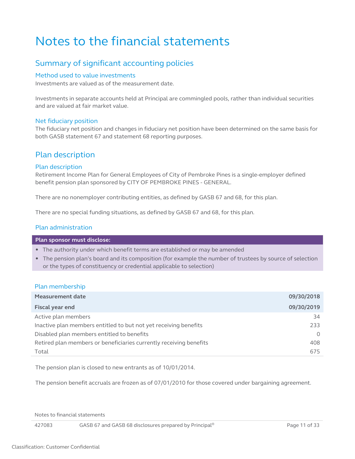## <span id="page-10-0"></span>Notes to the financial statements

### <span id="page-10-1"></span>Summary of significant accounting policies

#### <span id="page-10-2"></span>Method used to value investments

Investments are valued as of the measurement date.

Investments in separate accounts held at Principal are commingled pools, rather than individual securities and are valued at fair market value.

#### <span id="page-10-3"></span>Net fiduciary position

The fiduciary net position and changes in fiduciary net position have been determined on the same basis for both GASB statement 67 and statement 68 reporting purposes.

#### <span id="page-10-4"></span>Plan description

#### <span id="page-10-5"></span>Plan description

Retirement Income Plan for General Employees of City of Pembroke Pines is a single-employer defined benefit pension plan sponsored by CITY OF PEMBROKE PINES - GENERAL.

There are no nonemployer contributing entities, as defined by GASB 67 and 68, for this plan.

There are no special funding situations, as defined by GASB 67 and 68, for this plan.

#### <span id="page-10-6"></span>Plan administration

**Plan sponsor must disclose:**

- The authority under which benefit terms are established or may be amended
- The pension plan's board and its composition (for example the number of trustees by source of selection or the types of constituency or credential applicable to selection)

#### <span id="page-10-7"></span>Plan membership

| <b>Measurement date</b>                                            | 09/30/2018 |
|--------------------------------------------------------------------|------------|
| <b>Fiscal year end</b>                                             | 09/30/2019 |
| Active plan members                                                | 34         |
| Inactive plan members entitled to but not yet receiving benefits   | 233        |
| Disabled plan members entitled to benefits                         | $\Omega$   |
| Retired plan members or beneficiaries currently receiving benefits | 408        |
| Total                                                              | 675        |

The pension plan is closed to new entrants as of 10/01/2014.

The pension benefit accruals are frozen as of 07/01/2010 for those covered under bargaining agreement.

Notes to financial statements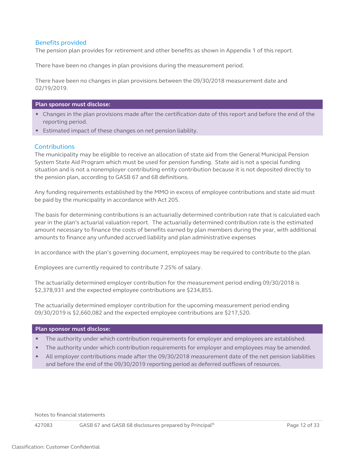#### <span id="page-11-0"></span>Benefits provided

The pension plan provides for retirement and other benefits as shown in Appendix 1 of this report.

There have been no changes in plan provisions during the measurement period.

There have been no changes in plan provisions between the 09/30/2018 measurement date and 02/19/2019.

#### **Plan sponsor must disclose:**

- Changes in the plan provisions made after the certification date of this report and before the end of the reporting period.
- Estimated impact of these changes on net pension liability.

#### <span id="page-11-1"></span>**Contributions**

The municipality may be eligible to receive an allocation of state aid from the General Municipal Pension System State Aid Program which must be used for pension funding. State aid is not a special funding situation and is not a nonemployer contributing entity contribution because it is not deposited directly to the pension plan, according to GASB 67 and 68 definitions.

Any funding requirements established by the MMO in excess of employee contributions and state aid must be paid by the municipality in accordance with Act 205.

The basis for determining contributions is an actuarially determined contribution rate that is calculated each year in the plan's actuarial valuation report. The actuarially determined contribution rate is the estimated amount necessary to finance the costs of benefits earned by plan members during the year, with additional amounts to finance any unfunded accrued liability and plan administrative expenses

In accordance with the plan's governing document, employees may be required to contribute to the plan.

Employees are currently required to contribute 7.25% of salary.

The actuarially determined employer contribution for the measurement period ending 09/30/2018 is \$2,378,931 and the expected employee contributions are \$234,855.

The actuarially determined employer contribution for the upcoming measurement period ending 09/30/2019 is \$2,660,082 and the expected employee contributions are \$217,520.

#### **Plan sponsor must disclose:**

- The authority under which contribution requirements for employer and employees are established.
- The authority under which contribution requirements for employer and employees may be amended.
- All employer contributions made after the 09/30/2018 measurement date of the net pension liabilities and before the end of the 09/30/2019 reporting period as deferred outflows of resources.

Notes to financial statements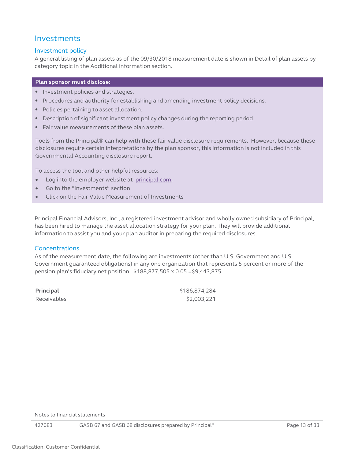### <span id="page-12-0"></span>Investments

#### <span id="page-12-1"></span>Investment policy

A general listing of plan assets as of the 09/30/2018 measurement date is shown in Detail of plan assets by category topic in the Additional information section.

#### **Plan sponsor must disclose:**

- Investment policies and strategies.
- Procedures and authority for establishing and amending investment policy decisions.
- Policies pertaining to asset allocation.
- Description of significant investment policy changes during the reporting period.
- Fair value measurements of these plan assets.

Tools from the Principal® can help with these fair value disclosure requirements. However, because these disclosures require certain interpretations by the plan sponsor, this information is not included in this Governmental Accounting disclosure report.

To access the tool and other helpful resources:

- Log into the employer website at principal.com,
- Go to the "Investments" section
- Click on the Fair Value Measurement of Investments

Principal Financial Advisors, Inc., a registered investment advisor and wholly owned subsidiary of Principal, has been hired to manage the asset allocation strategy for your plan. They will provide additional information to assist you and your plan auditor in preparing the required disclosures.

#### <span id="page-12-2"></span>**Concentrations**

As of the measurement date, the following are investments (other than U.S. Government and U.S. Government guaranteed obligations) in any one organization that represents 5 percent or more of the pension plan's fiduciary net position. \$188,877,505 x 0.05 =\$9,443,875

| Principal   | \$186,874,284 |
|-------------|---------------|
| Receivables | \$2,003,221   |

Notes to financial statements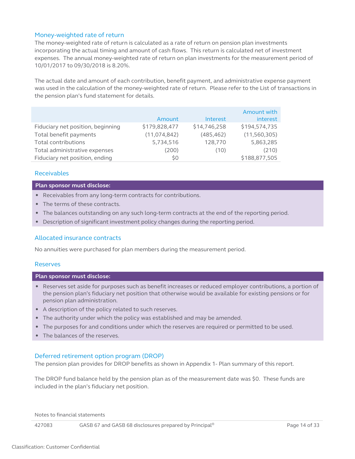#### <span id="page-13-0"></span>Money-weighted rate of return

The money-weighted rate of return is calculated as a rate of return on pension plan investments incorporating the actual timing and amount of cash flows. This return is calculated net of investment expenses. The annual money-weighted rate of return on plan investments for the measurement period of 10/01/2017 to 09/30/2018 is 8.20%.

The actual date and amount of each contribution, benefit payment, and administrative expense payment was used in the calculation of the money-weighted rate of return. Please refer to the List of transactions in the pension plan's fund statement for details.

|                                   | Amount         | Interest     | Amount with<br>interest |
|-----------------------------------|----------------|--------------|-------------------------|
| Fiduciary net position, beginning | \$179,828,477  | \$14,746,258 | \$194,574,735           |
| Total benefit payments            | (11, 074, 842) | (485, 462)   | (11,560,305)            |
| Total contributions               | 5,734,516      | 128,770      | 5,863,285               |
| Total administrative expenses     | (200)          | (10)         | (210)                   |
| Fiduciary net position, ending    | S0             |              | \$188,877,505           |

#### <span id="page-13-1"></span>Receivables

#### **Plan sponsor must disclose:**

- Receivables from any long-term contracts for contributions.
- The terms of these contracts.
- The balances outstanding on any such long-term contracts at the end of the reporting period.
- Description of significant investment policy changes during the reporting period.

#### <span id="page-13-2"></span>Allocated insurance contracts

No annuities were purchased for plan members during the measurement period.

#### <span id="page-13-3"></span>Reserves

#### **Plan sponsor must disclose:**

- Reserves set aside for purposes such as benefit increases or reduced employer contributions, a portion of the pension plan's fiduciary net position that otherwise would be available for existing pensions or for pension plan administration.
- A description of the policy related to such reserves.
- The authority under which the policy was established and may be amended.
- The purposes for and conditions under which the reserves are required or permitted to be used.
- The balances of the reserves.

#### <span id="page-13-4"></span>Deferred retirement option program (DROP)

The pension plan provides for DROP benefits as shown in Appendix 1- Plan summary of this report.

The DROP fund balance held by the pension plan as of the measurement date was \$0. These funds are included in the plan's fiduciary net position.

Notes to financial statements

427083 GASB 67 and GASB 68 disclosures prepared by Principal® Page 14 of 33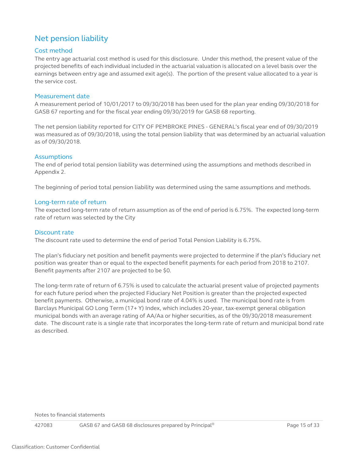### <span id="page-14-0"></span>Net pension liability

#### <span id="page-14-1"></span>Cost method

The entry age actuarial cost method is used for this disclosure. Under this method, the present value of the projected benefits of each individual included in the actuarial valuation is allocated on a level basis over the earnings between entry age and assumed exit age(s). The portion of the present value allocated to a year is the service cost.

#### <span id="page-14-2"></span>Measurement date

A measurement period of 10/01/2017 to 09/30/2018 has been used for the plan year ending 09/30/2018 for GASB 67 reporting and for the fiscal year ending 09/30/2019 for GASB 68 reporting.

The net pension liability reported for CITY OF PEMBROKE PINES - GENERAL's fiscal year end of 09/30/2019 was measured as of 09/30/2018, using the total pension liability that was determined by an actuarial valuation as of 09/30/2018.

#### <span id="page-14-3"></span>**Assumptions**

The end of period total pension liability was determined using the assumptions and methods described in Appendix 2.

The beginning of period total pension liability was determined using the same assumptions and methods.

#### <span id="page-14-4"></span>Long-term rate of return

The expected long-term rate of return assumption as of the end of period is 6.75%. The expected long-term rate of return was selected by the City

#### <span id="page-14-5"></span>Discount rate

The discount rate used to determine the end of period Total Pension Liability is 6.75%.

The plan's fiduciary net position and benefit payments were projected to determine if the plan's fiduciary net position was greater than or equal to the expected benefit payments for each period from 2018 to 2107. Benefit payments after 2107 are projected to be \$0.

The long-term rate of return of 6.75% is used to calculate the actuarial present value of projected payments for each future period when the projected Fiduciary Net Position is greater than the projected expected benefit payments. Otherwise, a municipal bond rate of 4.04% is used. The municipal bond rate is from Barclays Municipal GO Long Term (17+ Y) Index, which includes 20-year, tax-exempt general obligation municipal bonds with an average rating of AA/Aa or higher securities, as of the 09/30/2018 measurement date. The discount rate is a single rate that incorporates the long-term rate of return and municipal bond rate as described.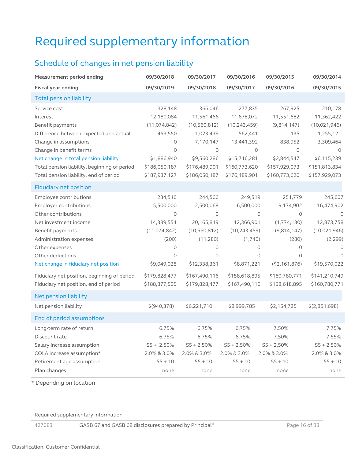## <span id="page-15-0"></span>Required supplementary information

### <span id="page-15-1"></span>Schedule of changes in net pension liability

<span id="page-15-3"></span><span id="page-15-2"></span>

| <b>Measurement period ending</b>                                                                                                                                                                                                                                                                                                                                        | 09/30/2018                                                                                                                                 | 09/30/2017                                                                                                                                       | 09/30/2016                                                                                                                                     | 09/30/2015                                                                                                                                                | 09/30/2014                                                                                                                                                     |
|-------------------------------------------------------------------------------------------------------------------------------------------------------------------------------------------------------------------------------------------------------------------------------------------------------------------------------------------------------------------------|--------------------------------------------------------------------------------------------------------------------------------------------|--------------------------------------------------------------------------------------------------------------------------------------------------|------------------------------------------------------------------------------------------------------------------------------------------------|-----------------------------------------------------------------------------------------------------------------------------------------------------------|----------------------------------------------------------------------------------------------------------------------------------------------------------------|
| <b>Fiscal year ending</b>                                                                                                                                                                                                                                                                                                                                               | 09/30/2019                                                                                                                                 | 09/30/2018                                                                                                                                       | 09/30/2017                                                                                                                                     | 09/30/2016                                                                                                                                                | 09/30/2015                                                                                                                                                     |
| <b>Total pension liability</b>                                                                                                                                                                                                                                                                                                                                          |                                                                                                                                            |                                                                                                                                                  |                                                                                                                                                |                                                                                                                                                           |                                                                                                                                                                |
| Service cost<br>Interest<br>Benefit payments<br>Difference between expected and actual<br>Change in assumptions<br>Change in benefit terms<br>Net change in total pension liability                                                                                                                                                                                     | 328,148<br>12,180,084<br>(11,074,842)<br>453,550<br>0<br>0<br>\$1,886,940                                                                  | 366,046<br>11,561,466<br>(10, 560, 812)<br>1,023,439<br>7,170,147<br>0<br>\$9,560,286                                                            | 277,835<br>11,678,072<br>(10, 243, 459)<br>562,441<br>13,441,392<br>$\circ$<br>\$15,716,281                                                    | 267,925<br>11,551,682<br>(9,814,147)<br>135<br>838,952<br>0<br>\$2,844,547                                                                                | 210,178<br>11,362,422<br>(10,021,946)<br>1,255,121<br>3,309,464<br>0<br>\$6,115,239                                                                            |
| Total pension liability, beginning of period<br>Total pension liability, end of period                                                                                                                                                                                                                                                                                  | \$186,050,187<br>\$187,937,127                                                                                                             | \$176,489,901<br>\$186,050,187                                                                                                                   | \$160,773,620<br>\$176,489,901                                                                                                                 | \$157,929,073<br>\$160,773,620                                                                                                                            | \$151,813,834<br>\$157,929,073                                                                                                                                 |
| <b>Fiduciary net position</b>                                                                                                                                                                                                                                                                                                                                           |                                                                                                                                            |                                                                                                                                                  |                                                                                                                                                |                                                                                                                                                           |                                                                                                                                                                |
| Employee contributions<br>Employer contributions<br>Other contributions<br>Net investment income<br>Benefit payments<br>Administration expenses<br>Other expenses<br>Other deductions<br>Net change in fiduciary net position<br>Fiduciary net position, beginning of period<br>Fiduciary net position, end of period<br>Net pension liability<br>Net pension liability | 234,516<br>5,500,000<br>0<br>14,389,554<br>(11,074,842)<br>(200)<br>0<br>0<br>\$9,049,028<br>\$179,828,477<br>\$188,877,505<br>\$(940,378) | 244,566<br>2,500,068<br>0<br>20,165,819<br>(10, 560, 812)<br>(11,280)<br>0<br>0<br>\$12,338,361<br>\$167,490,116<br>\$179,828,477<br>\$6,221,710 | 249,519<br>6,500,000<br>0<br>12,366,901<br>(10, 243, 459)<br>(1,740)<br>0<br>0<br>\$8,871,221<br>\$158,618,895<br>\$167,490,116<br>\$8,999,785 | 251,779<br>9,174,902<br>$\circ$<br>(1,774,130)<br>(9,814,147)<br>(280)<br>0<br>$\circ$<br>(52, 161, 876)<br>\$160,780,771<br>\$158,618,895<br>\$2,154,725 | 245,607<br>16,474,902<br>$\Omega$<br>12,873,758<br>(10,021,946)<br>(2,299)<br>0<br>$\Omega$<br>\$19,570,022<br>\$141,210,749<br>\$160,780,771<br>\$(2,851,698) |
| End of period assumptions                                                                                                                                                                                                                                                                                                                                               |                                                                                                                                            |                                                                                                                                                  |                                                                                                                                                |                                                                                                                                                           |                                                                                                                                                                |
| Long-term rate of return<br>Discount rate<br>Salary increase assumption<br>COLA increase assumption*<br>Retirement age assumption                                                                                                                                                                                                                                       | 6.75%<br>6.75%<br>$S5 + 2.50\%$<br>2.0% & 3.0%<br>$55 + 10$                                                                                | 6.75%<br>6.75%<br>$S5 + 2.50\%$<br>2.0% & 3.0%<br>$55 + 10$                                                                                      | 6.75%<br>6.75%<br>$S5 + 2.50\%$<br>2.0% & 3.0%<br>$55 + 10$                                                                                    | 7.50%<br>7.50%<br>$S5 + 2.50%$<br>2.0% & 3.0%<br>$55 + 10$                                                                                                | 7.75%<br>7.55%<br>$S5 + 2.50\%$<br>2.0% & 3.0%<br>$55 + 10$                                                                                                    |
| Plan changes                                                                                                                                                                                                                                                                                                                                                            | none                                                                                                                                       | none                                                                                                                                             | none                                                                                                                                           | none                                                                                                                                                      | none                                                                                                                                                           |

<span id="page-15-5"></span><span id="page-15-4"></span>\* Depending on location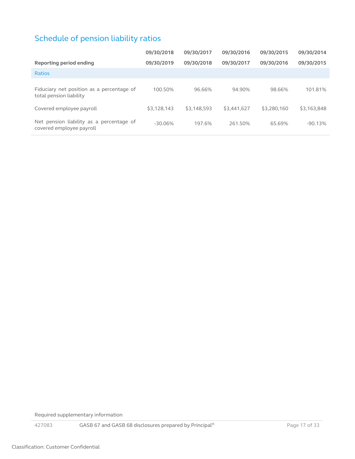### <span id="page-16-0"></span>Schedule of pension liability ratios

<span id="page-16-1"></span>

|                                                                      | 09/30/2018  | 09/30/2017  | 09/30/2016  | 09/30/2015  | 09/30/2014  |
|----------------------------------------------------------------------|-------------|-------------|-------------|-------------|-------------|
| Reporting period ending                                              | 09/30/2019  | 09/30/2018  | 09/30/2017  | 09/30/2016  | 09/30/2015  |
| <b>Ratios</b>                                                        |             |             |             |             |             |
| Fiduciary net position as a percentage of<br>total pension liability | 100.50%     | 96.66%      | 94.90%      | 98.66%      | 101.81%     |
| Covered employee payroll                                             | \$3,128,143 | \$3,148,593 | \$3,441,627 | \$3,280,160 | \$3,163,848 |
| Net pension liability as a percentage of<br>covered employee payroll | $-30.06\%$  | 197.6%      | 261.50%     | 65.69%      | $-90.13%$   |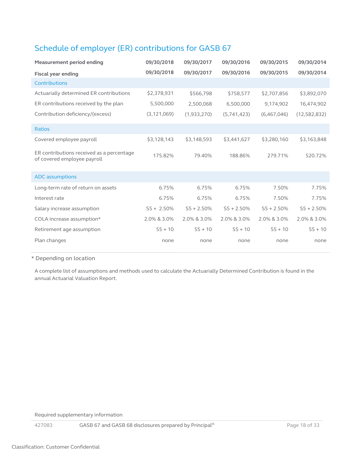### <span id="page-17-0"></span>Schedule of employer (ER) contributions for GASB 67

<span id="page-17-1"></span>

| <b>Measurement period ending</b>                                         | 09/30/2018    | 09/30/2017    | 09/30/2016   | 09/30/2015   | 09/30/2014   |
|--------------------------------------------------------------------------|---------------|---------------|--------------|--------------|--------------|
| <b>Fiscal year ending</b>                                                | 09/30/2018    | 09/30/2017    | 09/30/2016   | 09/30/2015   | 09/30/2014   |
| <b>Contributions</b>                                                     |               |               |              |              |              |
| Actuarially determined ER contributions                                  | \$2,378,931   | \$566,798     | \$758,577    | \$2,707,856  | \$3,892,070  |
| ER contributions received by the plan                                    | 5,500,000     | 2,500,068     | 6,500,000    | 9,174,902    | 16,474,902   |
| Contribution deficiency/(excess)                                         | (3, 121, 069) | (1,933,270)   | (5,741,423)  | (6,467,046)  | (12,582,832) |
| <b>Ratios</b>                                                            |               |               |              |              |              |
| Covered employee payroll                                                 | \$3,128,143   | \$3,148,593   | \$3,441,627  | \$3,280,160  | \$3,163,848  |
| ER contributions received as a percentage<br>of covered employee payroll | 175.82%       | 79.40%        | 188.86%      | 279.71%      | 520.72%      |
| <b>ADC</b> assumptions                                                   |               |               |              |              |              |
| Long-term rate of return on assets                                       | 6.75%         | 6.75%         | 6.75%        | 7.50%        | 7.75%        |
| Interest rate                                                            | 6.75%         | 6.75%         | 6.75%        | 7.50%        | 7.75%        |
| Salary increase assumption                                               | $S5 + 2.50\%$ | $S5 + 2.50\%$ | $S5 + 2.50%$ | $S5 + 2.50%$ | $S5 + 2.50%$ |
| COLA increase assumption*                                                | 2.0% & 3.0%   | 2.0% & 3.0%   | 2.0% & 3.0%  | 2.0% & 3.0%  | 2.0% & 3.0%  |
| Retirement age assumption                                                | $55 + 10$     | $55 + 10$     | $55 + 10$    | $55 + 10$    | $55 + 10$    |
| Plan changes                                                             | none          | none          | none         | none         | none         |

\* Depending on location

A complete list of assumptions and methods used to calculate the Actuarially Determined Contribution is found in the annual Actuarial Valuation Report.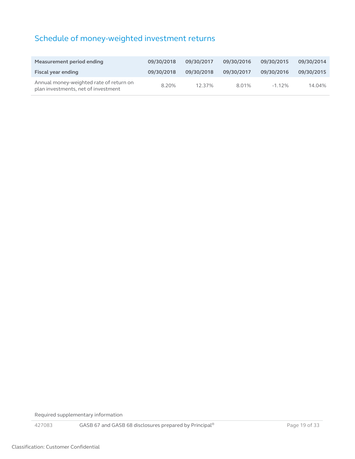### <span id="page-18-0"></span>Schedule of money-weighted investment returns

| Measurement period ending                                                      | 09/30/2018 | 09/30/2017 | 09/30/2016 | 09/30/2015 | 09/30/2014 |
|--------------------------------------------------------------------------------|------------|------------|------------|------------|------------|
| Fiscal year ending                                                             | 09/30/2018 | 09/30/2018 | 09/30/2017 | 09/30/2016 | 09/30/2015 |
| Annual money-weighted rate of return on<br>plan investments, net of investment | 8.20%      | 12.37%     | 8.01%      | $-1.12\%$  | 14.04%     |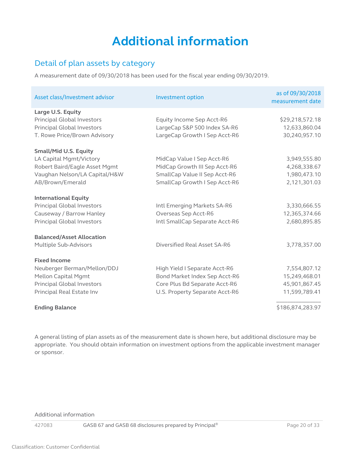## **Additional information**

### <span id="page-19-1"></span><span id="page-19-0"></span>Detail of plan assets by category

A measurement date of 09/30/2018 has been used for the fiscal year ending 09/30/2019.

| Asset class/Investment advisor   | Investment option              | as of 09/30/2018<br>measurement date |
|----------------------------------|--------------------------------|--------------------------------------|
| Large U.S. Equity                |                                |                                      |
| Principal Global Investors       | Equity Income Sep Acct-R6      | \$29,218,572.18                      |
| Principal Global Investors       | LargeCap S&P 500 Index SA-R6   | 12,633,860.04                        |
| T. Rowe Price/Brown Advisory     | LargeCap Growth I Sep Acct-R6  | 30,240,957.10                        |
| <b>Small/Mid U.S. Equity</b>     |                                |                                      |
| LA Capital Mgmt/Victory          | MidCap Value I Sep Acct-R6     | 3,949,555.80                         |
| Robert Baird/Eagle Asset Mgmt    | MidCap Growth III Sep Acct-R6  | 4,268,338.67                         |
| Vaughan Nelson/LA Capital/H&W    | SmallCap Value II Sep Acct-R6  | 1,980,473.10                         |
| AB/Brown/Emerald                 | SmallCap Growth I Sep Acct-R6  | 2,121,301.03                         |
| <b>International Equity</b>      |                                |                                      |
| Principal Global Investors       | Intl Emerging Markets SA-R6    | 3,330,666.55                         |
| Causeway / Barrow Hanley         | Overseas Sep Acct-R6           | 12,365,374.66                        |
| Principal Global Investors       | Intl SmallCap Separate Acct-R6 | 2,680,895.85                         |
| <b>Balanced/Asset Allocation</b> |                                |                                      |
| Multiple Sub-Advisors            | Diversified Real Asset SA-R6   | 3,778,357.00                         |
| <b>Fixed Income</b>              |                                |                                      |
| Neuberger Berman/Mellon/DDJ      | High Yield I Separate Acct-R6  | 7,554,807.12                         |
| Mellon Capital Mgmt              | Bond Market Index Sep Acct-R6  | 15,249,468.01                        |
| Principal Global Investors       | Core Plus Bd Separate Acct-R6  | 45,901,867.45                        |
| Principal Real Estate Inv        | U.S. Property Separate Acct-R6 | 11,599,789.41                        |
| <b>Ending Balance</b>            |                                | \$186,874,283.97                     |

A general listing of plan assets as of the measurement date is shown here, but additional disclosure may be appropriate. You should obtain information on investment options from the applicable investment manager or sponsor.

Additional information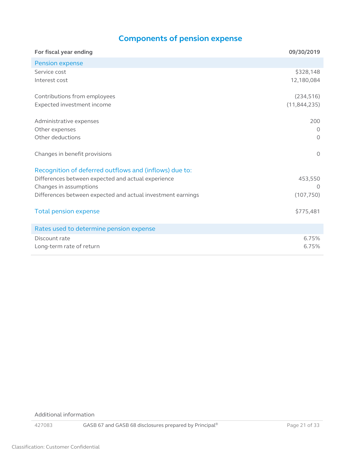### **Components of pension expense**

<span id="page-20-4"></span><span id="page-20-3"></span><span id="page-20-2"></span><span id="page-20-1"></span><span id="page-20-0"></span>

| For fiscal year ending                                      | 09/30/2019     |
|-------------------------------------------------------------|----------------|
| Pension expense                                             |                |
| Service cost                                                | \$328,148      |
| Interest cost                                               | 12,180,084     |
| Contributions from employees                                | (234, 516)     |
| Expected investment income                                  | (11, 844, 235) |
| Administrative expenses                                     | 200            |
| Other expenses                                              | 0              |
| Other deductions                                            | $\Omega$       |
| Changes in benefit provisions                               | $\Omega$       |
| Recognition of deferred outflows and (inflows) due to:      |                |
| Differences between expected and actual experience          | 453,550        |
| Changes in assumptions                                      | $\Omega$       |
| Differences between expected and actual investment earnings | (107, 750)     |
| <b>Total pension expense</b>                                | \$775,481      |
| Rates used to determine pension expense                     |                |
| Discount rate                                               | 6.75%          |
| Long-term rate of return                                    | 6.75%          |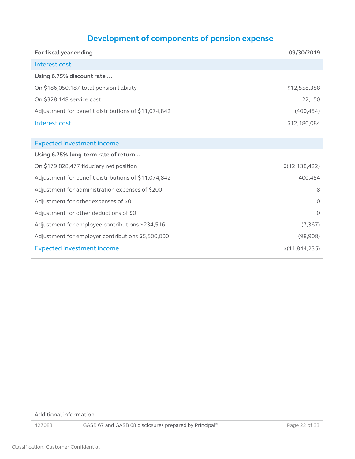### **Development of components of pension expense**

<span id="page-21-2"></span><span id="page-21-1"></span><span id="page-21-0"></span>

| For fiscal year ending                               | 09/30/2019                  |
|------------------------------------------------------|-----------------------------|
| Interest cost                                        |                             |
| Using 6.75% discount rate                            |                             |
| On \$186,050,187 total pension liability             | \$12,558,388                |
| On \$328,148 service cost                            | 22,150                      |
| Adjustment for benefit distributions of \$11,074,842 | (400, 454)                  |
| Interest cost                                        | \$12,180,084                |
|                                                      |                             |
| <b>Expected investment income</b>                    |                             |
| Using 6.75% long-term rate of return                 |                             |
| On \$179,828,477 fiduciary net position              | $\frac{1}{2}(12, 138, 422)$ |
| Adjustment for benefit distributions of \$11,074,842 | 400,454                     |
| Adjustment for administration expenses of \$200      | 8                           |
| Adjustment for other expenses of \$0                 | $\Omega$                    |
| Adjustment for other deductions of \$0               | $\Omega$                    |
| Adjustment for employee contributions \$234,516      | (7, 367)                    |
| Adjustment for employer contributions \$5,500,000    | (98,908)                    |
| <b>Expected investment income</b>                    | \$(11,844,235)              |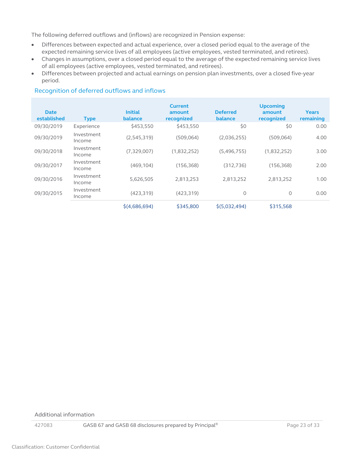The following deferred outflows and (inflows) are recognized in Pension expense:

- Differences between expected and actual experience, over a closed period equal to the average of the expected remaining service lives of all employees (active employees, vested terminated, and retirees).
- Changes in assumptions, over a closed period equal to the average of the expected remaining service lives of all employees (active employees, vested terminated, and retirees).
- Differences between projected and actual earnings on pension plan investments, over a closed five-year period.

| <b>Date</b><br>established | <b>Type</b>          | <b>Initial</b><br>balance | <b>Current</b><br>amount<br>recognized | <b>Deferred</b><br>balance | <b>Upcoming</b><br>amount<br>recognized | <b>Years</b><br>remaining |
|----------------------------|----------------------|---------------------------|----------------------------------------|----------------------------|-----------------------------------------|---------------------------|
| 09/30/2019                 | Experience           | \$453,550                 | \$453,550                              | \$0                        | \$0                                     | 0.00                      |
| 09/30/2019                 | Investment<br>Income | (2,545,319)               | (509,064)                              | (2,036,255)                | (509,064)                               | 4.00                      |
| 09/30/2018                 | Investment<br>Income | (7,329,007)               | (1,832,252)                            | (5,496,755)                | (1,832,252)                             | 3.00                      |
| 09/30/2017                 | Investment<br>Income | (469, 104)                | (156, 368)                             | (312, 736)                 | (156, 368)                              | 2.00                      |
| 09/30/2016                 | Investment<br>Income | 5,626,505                 | 2,813,253                              | 2,813,252                  | 2,813,252                               | 1.00                      |
| 09/30/2015                 | Investment<br>Income | (423, 319)                | (423, 319)                             | $\Omega$                   | $\circ$                                 | 0.00                      |
|                            |                      | \$(4,686,694)             | \$345,800                              | $\frac{1}{2}(5,032,494)$   | \$315,568                               |                           |

#### Recognition of deferred outflows and inflows

Additional information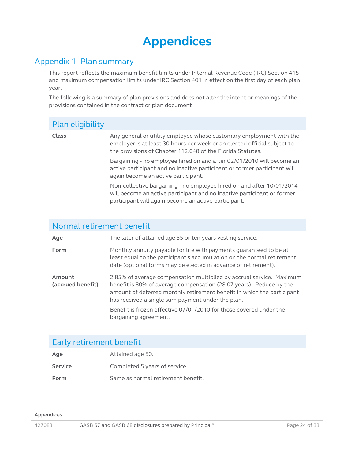## **Appendices**

### <span id="page-23-1"></span><span id="page-23-0"></span>Appendix 1- Plan summary

This report reflects the maximum benefit limits under Internal Revenue Code (IRC) Section 415 and maximum compensation limits under IRC Section 401 in effect on the first day of each plan year.

The following is a summary of plan provisions and does not alter the intent or meanings of the provisions contained in the contract or plan document

| Plan eligibility          |                                                                                                                                                                                                               |
|---------------------------|---------------------------------------------------------------------------------------------------------------------------------------------------------------------------------------------------------------|
| <b>Class</b>              | Any general or utility employee whose customary employment with the<br>employer is at least 30 hours per week or an elected official subject to<br>the provisions of Chapter 112.048 of the Florida Statutes. |
|                           | Bargaining - no employee hired on and after 02/01/2010 will become an<br>active participant and no inactive participant or former participant will<br>again become an active participant.                     |
|                           | Non-collective bargaining - no employee hired on and after 10/01/2014<br>will become an active participant and no inactive participant or former<br>participant will again become an active participant.      |
| Normal retirement benefit |                                                                                                                                                                                                               |
| Age                       | The later of attained age 55 or ten years vesting service.                                                                                                                                                    |
| Form                      | Monthly annuity payable for life with payments guaranteed to be at<br>least equal to the participant's accumulation on the normal retirement                                                                  |

**Amount (accrued benefit)** 2.85% of average compensation multiplied by accrual service. Maximum benefit is 80% of average compensation (28.07 years). Reduce by the amount of deferred monthly retirement benefit in which the participant has received a single sum payment under the plan. Benefit is frozen effective 07/01/2010 for those covered under the bargaining agreement.

date (optional forms may be elected in advance of retirement).

### Early retirement benefit

| Age     | Attained age 50.                   |
|---------|------------------------------------|
| Service | Completed 5 years of service.      |
| Form    | Same as normal retirement benefit. |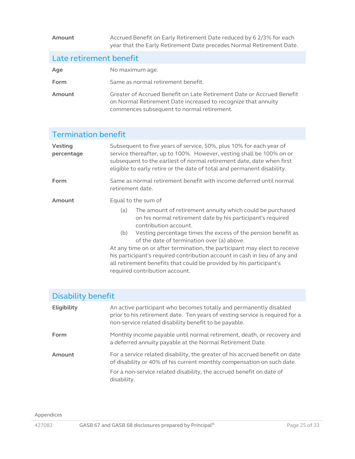**Amount** Accrued Benefit on Early Retirement Date reduced by 6 2/3% for each year that the Early Retirement Date precedes Normal Retirement Date.

### Late retirement benefit

| Age    | No maximum age.                                                                                                                                                                      |
|--------|--------------------------------------------------------------------------------------------------------------------------------------------------------------------------------------|
| Form   | Same as normal retirement benefit.                                                                                                                                                   |
| Amount | Greater of Accrued Benefit on Late Retirement Date or Accrued Benefit<br>on Normal Retirement Date increased to recognize that annuity<br>commences subsequent to normal retirement. |

## Termination benefit

| Subsequent to five years of service, 50%, plus 10% for each year of<br>service thereafter, up to 100%. However, vesting shall be 100% on or<br>subsequent to the earliest of normal retirement date, date when first<br>eligible to early retire or the date of total and permanent disability.                                                                                                                                                                                                                                         |                                |  |
|-----------------------------------------------------------------------------------------------------------------------------------------------------------------------------------------------------------------------------------------------------------------------------------------------------------------------------------------------------------------------------------------------------------------------------------------------------------------------------------------------------------------------------------------|--------------------------------|--|
| Same as normal retirement benefit with income deferred until normal<br>retirement date.                                                                                                                                                                                                                                                                                                                                                                                                                                                 |                                |  |
| Equal to the sum of<br>The amount of retirement annuity which could be purchased<br>(a)<br>on his normal retirement date by his participant's required<br>contribution account.<br>Vesting percentage times the excess of the pension benefit as<br>(b)<br>of the date of termination over (a) above.<br>At any time on or after termination, the participant may elect to receive<br>his participant's required contribution account in cash in lieu of any and<br>all retirement benefits that could be provided by his participant's |                                |  |
|                                                                                                                                                                                                                                                                                                                                                                                                                                                                                                                                         | required contribution account. |  |

### Disability benefit

| <b>Eligibility</b> | An active participant who becomes totally and permanently disabled<br>prior to his retirement date. Ten years of vesting service is required for a<br>non-service related disability benefit to be payable. |
|--------------------|-------------------------------------------------------------------------------------------------------------------------------------------------------------------------------------------------------------|
| Form               | Monthly income payable until normal retirement, death, or recovery and<br>a deferred annuity payable at the Normal Retirement Date.                                                                         |
| Amount             | For a service related disability, the greater of his accrued benefit on date<br>of disability or 40% of his current monthly compensation on such date.                                                      |
|                    | For a non-service related disability, the accrued benefit on date of<br>disability.                                                                                                                         |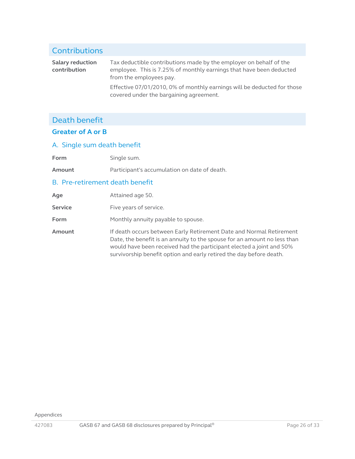| <b>Contributions</b>                    |                                                                                                                                                                      |
|-----------------------------------------|----------------------------------------------------------------------------------------------------------------------------------------------------------------------|
| <b>Salary reduction</b><br>contribution | Tax deductible contributions made by the employer on behalf of the<br>employee. This is 7.25% of monthly earnings that have been deducted<br>from the employees pay. |
|                                         | Effective 07/01/2010, 0% of monthly earnings will be deducted for those<br>covered under the bargaining agreement.                                                   |

### Death benefit

### **Greater of A or B**

### A. Single sum death benefit

| Single sum. |
|-------------|
|             |

**Amount** Participant's accumulation on date of death.

### B. Pre-retirement death benefit

| Age            | Attained age 50.                                                                                                                                                                                                                                                                               |
|----------------|------------------------------------------------------------------------------------------------------------------------------------------------------------------------------------------------------------------------------------------------------------------------------------------------|
| <b>Service</b> | Five years of service.                                                                                                                                                                                                                                                                         |
| Form           | Monthly annuity payable to spouse.                                                                                                                                                                                                                                                             |
| Amount         | If death occurs between Early Retirement Date and Normal Retirement<br>Date, the benefit is an annuity to the spouse for an amount no less than<br>would have been received had the participant elected a joint and 50%<br>survivorship benefit option and early retired the day before death. |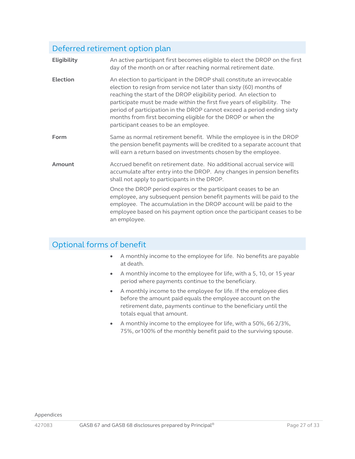### Deferred retirement option plan

| <b>Eligibility</b> | An active participant first becomes eligible to elect the DROP on the first<br>day of the month on or after reaching normal retirement date.                                                                                                                                                                                                                                                                                                                                                                |
|--------------------|-------------------------------------------------------------------------------------------------------------------------------------------------------------------------------------------------------------------------------------------------------------------------------------------------------------------------------------------------------------------------------------------------------------------------------------------------------------------------------------------------------------|
| <b>Election</b>    | An election to participant in the DROP shall constitute an irrevocable<br>election to resign from service not later than sixty (60) months of<br>reaching the start of the DROP eligibility period. An election to<br>participate must be made within the first five years of eligibility. The<br>period of participation in the DROP cannot exceed a period ending sixty<br>months from first becoming eligible for the DROP or when the<br>participant ceases to be an employee.                          |
| Form               | Same as normal retirement benefit. While the employee is in the DROP<br>the pension benefit payments will be credited to a separate account that<br>will earn a return based on investments chosen by the employee.                                                                                                                                                                                                                                                                                         |
| Amount             | Accrued benefit on retirement date. No additional accrual service will<br>accumulate after entry into the DROP. Any changes in pension benefits<br>shall not apply to participants in the DROP.<br>Once the DROP period expires or the participant ceases to be an<br>employee, any subsequent pension benefit payments will be paid to the<br>employee. The accumulation in the DROP account will be paid to the<br>employee based on his payment option once the participant ceases to be<br>an employee. |
|                    |                                                                                                                                                                                                                                                                                                                                                                                                                                                                                                             |

### Optional forms of benefit

- A monthly income to the employee for life. No benefits are payable at death.
- A monthly income to the employee for life, with a 5, 10, or 15 year period where payments continue to the beneficiary.
- A monthly income to the employee for life. If the employee dies before the amount paid equals the employee account on the retirement date, payments continue to the beneficiary until the totals equal that amount.
- A monthly income to the employee for life, with a 50%, 66 2/3%, 75%, or100% of the monthly benefit paid to the surviving spouse.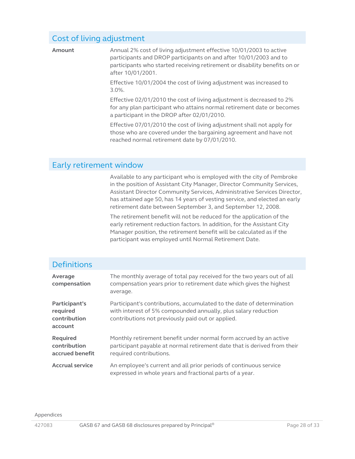### Cost of living adjustment

**Amount** Annual 2% cost of living adjustment effective 10/01/2003 to active participants and DROP participants on and after 10/01/2003 and to participants who started receiving retirement or disability benefits on or after 10/01/2001.

> Effective 10/01/2004 the cost of living adjustment was increased to 3.0%.

Effective 02/01/2010 the cost of living adjustment is decreased to 2% for any plan participant who attains normal retirement date or becomes a participant in the DROP after 02/01/2010.

Effective 07/01/2010 the cost of living adjustment shall not apply for those who are covered under the bargaining agreement and have not reached normal retirement date by 07/01/2010.

### Early retirement window

Available to any participant who is employed with the city of Pembroke in the position of Assistant City Manager, Director Community Services, Assistant Director Community Services, Administrative Services Director, has attained age 50, has 14 years of vesting service, and elected an early retirement date between September 3, and September 12, 2008.

The retirement benefit will not be reduced for the application of the early retirement reduction factors. In addition, for the Assistant City Manager position, the retirement benefit will be calculated as if the participant was employed until Normal Retirement Date.

| <b>Definitions</b>                                   |                                                                                                                                                                                              |
|------------------------------------------------------|----------------------------------------------------------------------------------------------------------------------------------------------------------------------------------------------|
| Average<br>compensation                              | The monthly average of total pay received for the two years out of all<br>compensation years prior to retirement date which gives the highest<br>average.                                    |
| Participant's<br>required<br>contribution<br>account | Participant's contributions, accumulated to the date of determination<br>with interest of 5% compounded annually, plus salary reduction<br>contributions not previously paid out or applied. |
| <b>Required</b><br>contribution<br>accrued benefit   | Monthly retirement benefit under normal form accrued by an active<br>participant payable at normal retirement date that is derived from their<br>required contributions.                     |
| <b>Accrual service</b>                               | An employee's current and all prior periods of continuous service<br>expressed in whole years and fractional parts of a year.                                                                |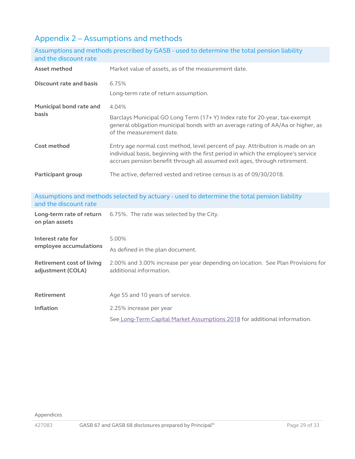### <span id="page-28-0"></span>Appendix 2 – Assumptions and methods

<span id="page-28-3"></span><span id="page-28-2"></span><span id="page-28-1"></span>

| and the discount rate                   | Assumptions and methods prescribed by GASB - used to determine the total pension liability                                                                                                                                                       |
|-----------------------------------------|--------------------------------------------------------------------------------------------------------------------------------------------------------------------------------------------------------------------------------------------------|
| Asset method                            | Market value of assets, as of the measurement date.                                                                                                                                                                                              |
| <b>Discount rate and basis</b>          | 6.75%                                                                                                                                                                                                                                            |
|                                         | Long-term rate of return assumption.                                                                                                                                                                                                             |
| Municipal bond rate and<br><b>basis</b> | 4.04%                                                                                                                                                                                                                                            |
|                                         | Barclays Municipal GO Long Term (17+ Y) Index rate for 20-year, tax-exempt<br>general obligation municipal bonds with an average rating of AA/Aa or higher, as<br>of the measurement date.                                                       |
| Cost method                             | Entry age normal cost method, level percent of pay. Attribution is made on an<br>individual basis, beginning with the first period in which the employee's service<br>accrues pension benefit through all assumed exit ages, through retirement. |
| <b>Participant group</b>                | The active, deferred vested and retiree census is as of 09/30/2018.                                                                                                                                                                              |
|                                         | Assumptions and methods selected by actuary - used to determine the total pension liability                                                                                                                                                      |

<span id="page-28-10"></span><span id="page-28-9"></span><span id="page-28-8"></span><span id="page-28-7"></span><span id="page-28-6"></span><span id="page-28-5"></span><span id="page-28-4"></span>

| and the discount rate                                 | Assumptions and methods selected by actuary - used to determine the total pension liability                 |
|-------------------------------------------------------|-------------------------------------------------------------------------------------------------------------|
| on plan assets                                        | <b>Long-term rate of return</b> 6.75%. The rate was selected by the City.                                   |
| Interest rate for                                     | 5.00%                                                                                                       |
| employee accumulations                                | As defined in the plan document.                                                                            |
| <b>Retirement cost of living</b><br>adjustment (COLA) | 2.00% and 3.00% increase per year depending on location. See Plan Provisions for<br>additional information. |
|                                                       |                                                                                                             |
| <b>Retirement</b>                                     | Age 55 and 10 years of service.                                                                             |
| <b>Inflation</b>                                      | 2.25% increase per year                                                                                     |
|                                                       | See Long-Term Capital Market Assumptions 2018 for additional information.                                   |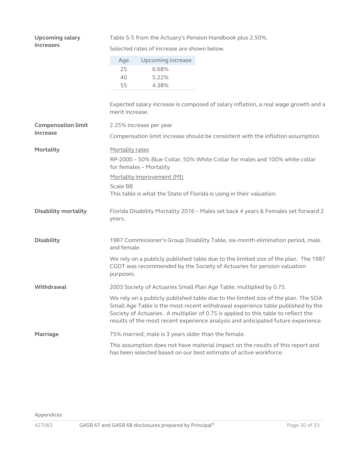<span id="page-29-7"></span><span id="page-29-6"></span><span id="page-29-5"></span><span id="page-29-4"></span><span id="page-29-3"></span><span id="page-29-2"></span><span id="page-29-1"></span><span id="page-29-0"></span>

| <b>Upcoming salary</b><br><i>increases</i> | Table S-5 from the Actuary's Pension Handbook plus 2.50%.                                                                                                                                                                                                                                                                                        |  |
|--------------------------------------------|--------------------------------------------------------------------------------------------------------------------------------------------------------------------------------------------------------------------------------------------------------------------------------------------------------------------------------------------------|--|
|                                            | Selected rates of increase are shown below.                                                                                                                                                                                                                                                                                                      |  |
|                                            | Upcoming increase<br>Age<br>25<br>6.68%<br>40<br>5.22%<br>55<br>4.38%                                                                                                                                                                                                                                                                            |  |
|                                            | Expected salary increase is composed of salary inflation, a real wage growth and a<br>merit increase.                                                                                                                                                                                                                                            |  |
| <b>Compensation limit</b>                  | 2.25% increase per year                                                                                                                                                                                                                                                                                                                          |  |
| <i>increase</i>                            | Compensation limit increase should be consistent with the inflation assumption.                                                                                                                                                                                                                                                                  |  |
| Mortality                                  | Mortality rates                                                                                                                                                                                                                                                                                                                                  |  |
|                                            | RP-2000 - 50% Blue Collar, 50% White Collar for males and 100% white collar<br>for females - Mortality                                                                                                                                                                                                                                           |  |
|                                            | Mortality improvement (MI)                                                                                                                                                                                                                                                                                                                       |  |
|                                            | Scale BB<br>This table is what the State of Florida is using in their valuation.                                                                                                                                                                                                                                                                 |  |
| <b>Disability mortality</b>                | Florida Disability Mortality 2016 - Males set back 4 years & Females set forward 2<br>years.                                                                                                                                                                                                                                                     |  |
| <b>Disability</b>                          | 1987 Commissioner's Group Disability Table, six-month elimination period, male<br>and female.                                                                                                                                                                                                                                                    |  |
|                                            | We rely on a publicly published table due to the limited size of the plan. The 1987<br>CGDT was recommended by the Society of Actuaries for pension valuation<br>purposes.                                                                                                                                                                       |  |
| Withdrawal                                 | 2003 Society of Actuaries Small Plan Age Table, multiplied by 0.75.                                                                                                                                                                                                                                                                              |  |
|                                            | We rely on a publicly published table due to the limited size of the plan. The SOA<br>Small Age Table is the most recent withdrawal experience table published by the<br>Society of Actuaries. A multiplier of 0.75 is applied to this table to reflect the<br>results of the most recent experience analysis and anticipated future experience. |  |
| Marriage                                   | 75% married; male is 3 years older than the female.                                                                                                                                                                                                                                                                                              |  |
|                                            | This assumption does not have material impact on the results of this report and<br>has been selected based on our best estimate of active workforce.                                                                                                                                                                                             |  |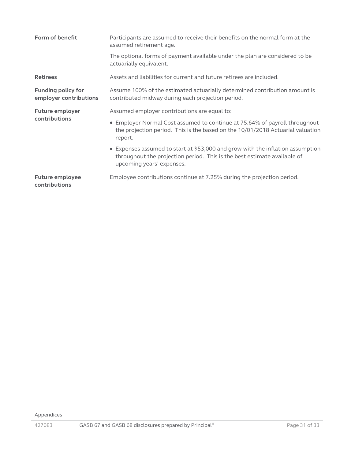| Form of benefit                                     | Participants are assumed to receive their benefits on the normal form at the<br>assumed retirement age.                                                                                 |
|-----------------------------------------------------|-----------------------------------------------------------------------------------------------------------------------------------------------------------------------------------------|
|                                                     | The optional forms of payment available under the plan are considered to be<br>actuarially equivalent.                                                                                  |
| <b>Retirees</b>                                     | Assets and liabilities for current and future retirees are included.                                                                                                                    |
| <b>Funding policy for</b><br>employer contributions | Assume 100% of the estimated actuarially determined contribution amount is<br>contributed midway during each projection period.                                                         |
| Future employer                                     | Assumed employer contributions are equal to:                                                                                                                                            |
| contributions                                       | • Employer Normal Cost assumed to continue at 75.64% of payroll throughout<br>the projection period. This is the based on the 10/01/2018 Actuarial valuation<br>report.                 |
|                                                     | • Expenses assumed to start at \$53,000 and grow with the inflation assumption<br>throughout the projection period. This is the best estimate available of<br>upcoming years' expenses. |
| Future employee<br>contributions                    | Employee contributions continue at 7.25% during the projection period.                                                                                                                  |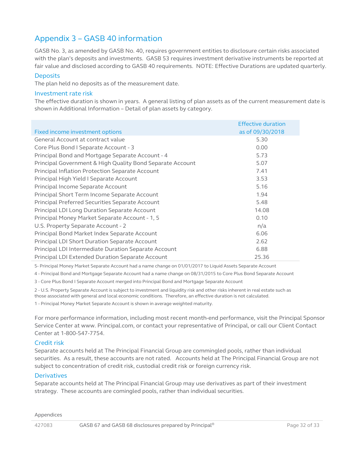### <span id="page-31-0"></span>Appendix 3 – GASB 40 information

GASB No. 3, as amended by GASB No. 40, requires government entities to disclosure certain risks associated with the plan's deposits and investments. GASB 53 requires investment derivative instruments be reported at fair value and disclosed according to GASB 40 requirements. NOTE: Effective Durations are updated quarterly.

#### <span id="page-31-1"></span>**Deposits**

The plan held no deposits as of the measurement date.

#### <span id="page-31-2"></span>Investment rate risk

The effective duration is shown in years. A general listing of plan assets as of the current measurement date is shown in Additional Information – Detail of plan assets by category.

|                                                           | <b>Effective duration</b> |
|-----------------------------------------------------------|---------------------------|
| Fixed income investment options                           | as of 09/30/2018          |
| General Account at contract value                         | 5.30                      |
| Core Plus Bond I Separate Account - 3                     | 0.00                      |
| Principal Bond and Mortgage Separate Account - 4          | 5.73                      |
| Principal Government & High Quality Bond Separate Account | 5.07                      |
| Principal Inflation Protection Separate Account           | 7.41                      |
| Principal High Yield I Separate Account                   | 3.53                      |
| Principal Income Separate Account                         | 5.16                      |
| Principal Short Term Income Separate Account              | 1.94                      |
| Principal Preferred Securities Separate Account           | 5.48                      |
| Principal LDI Long Duration Separate Account              | 14.08                     |
| Principal Money Market Separate Account - 1, 5            | 0.10                      |
| U.S. Property Separate Account - 2                        | n/a                       |
| Principal Bond Market Index Separate Account              | 6.06                      |
| Principal LDI Short Duration Separate Account             | 2.62                      |
| Principal LDI Intermediate Duration Separate Account      | 6.88                      |
| Principal LDI Extended Duration Separate Account          | 25.36                     |

5- Principal Money Market Separate Account had a name change on 01/01/2017 to Liquid Assets Separate Account

4 - Principal Bond and Mortgage Separate Account had a name change on 08/31/2015 to Core Plus Bond Separate Account

3 - Core Plus Bond I Separate Account merged into Principal Bond and Mortgage Separate Account

2 - U.S. Property Separate Account is subject to investment and liquidity risk and other risks inherent in real estate such as those associated with general and local economic conditions. Therefore, an effective duration is not calculated.

1 - Principal Money Market Separate Account is shown in average weighted maturity.

For more performance information, including most recent month-end performance, visit the Principal Sponsor Service Center at www. Principal.com, or contact your representative of Principal, or call our Client Contact Center at 1-800-547-7754.

#### <span id="page-31-3"></span>Credit risk

Separate accounts held at The Principal Financial Group are commingled pools, rather than individual securities. As a result, these accounts are not rated. Accounts held at The Principal Financial Group are not subject to concentration of credit risk, custodial credit risk or foreign currency risk.

#### <span id="page-31-4"></span>**Derivatives**

Separate accounts held at The Principal Financial Group may use derivatives as part of their investment strategy. These accounts are comingled pools, rather than individual securities.